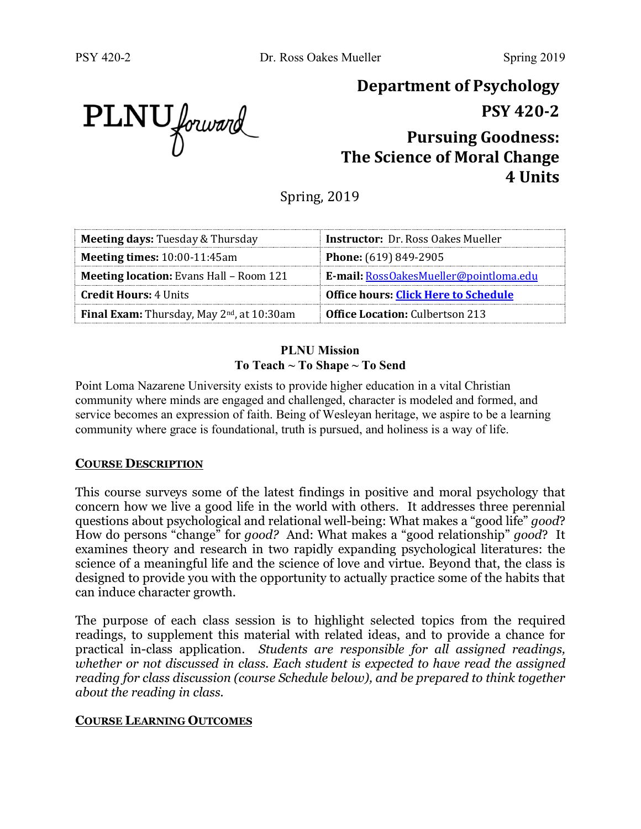**Department of Psychology**

**PSY 420-2**

# **Pursuing Goodness: The Science of Moral Change 4 Units**

Spring, 2019

| <b>Meeting days: Tuesday &amp; Thursday</b>                   | <b>Instructor:</b> Dr. Ross Oakes Mueller   |
|---------------------------------------------------------------|---------------------------------------------|
| <b>Meeting times: 10:00-11:45am</b>                           | <b>Phone:</b> (619) 849-2905                |
| <b>Meeting location:</b> Evans Hall - Room 121                | E-mail: RossOakesMueller@pointloma.edu      |
| <b>Credit Hours: 4 Units</b>                                  | <b>Office hours: Click Here to Schedule</b> |
| <b>Final Exam:</b> Thursday, May 2 <sup>nd</sup> , at 10:30am | <b>Office Location: Culbertson 213</b>      |

#### **PLNU Mission To Teach ~ To Shape ~ To Send**

Point Loma Nazarene University exists to provide higher education in a vital Christian community where minds are engaged and challenged, character is modeled and formed, and service becomes an expression of faith. Being of Wesleyan heritage, we aspire to be a learning community where grace is foundational, truth is pursued, and holiness is a way of life.

### **COURSE DESCRIPTION**

This course surveys some of the latest findings in positive and moral psychology that concern how we live a good life in the world with others. It addresses three perennial questions about psychological and relational well-being: What makes a "good life" *good*? How do persons "change" for *good?* And: What makes a "good relationship" *good*? It examines theory and research in two rapidly expanding psychological literatures: the science of a meaningful life and the science of love and virtue. Beyond that, the class is designed to provide you with the opportunity to actually practice some of the habits that can induce character growth.

The purpose of each class session is to highlight selected topics from the required readings, to supplement this material with related ideas, and to provide a chance for practical in-class application. *Students are responsible for all assigned readings,*  whether or not discussed in class. Each student is expected to have read the assigned *reading for class discussion (course Schedule below), and be prepared to think together about the reading in class.*

### **COURSE LEARNING OUTCOMES**

PLNU forward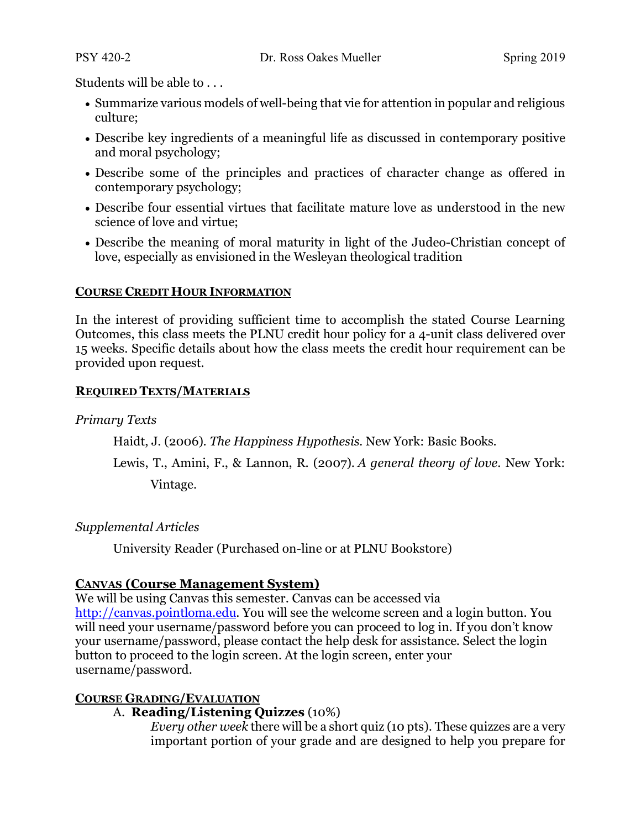Students will be able to . . .

- Summarize various models of well-being that vie for attention in popular and religious culture;
- Describe key ingredients of a meaningful life as discussed in contemporary positive and moral psychology;
- Describe some of the principles and practices of character change as offered in contemporary psychology;
- Describe four essential virtues that facilitate mature love as understood in the new science of love and virtue;
- Describe the meaning of moral maturity in light of the Judeo-Christian concept of love, especially as envisioned in the Wesleyan theological tradition

#### **COURSE CREDIT HOUR INFORMATION**

In the interest of providing sufficient time to accomplish the stated Course Learning Outcomes, this class meets the PLNU credit hour policy for a 4-unit class delivered over 15 weeks. Specific details about how the class meets the credit hour requirement can be provided upon request.

#### **REQUIRED TEXTS/MATERIALS**

#### *Primary Texts*

Haidt, J. (2006). *The Happiness Hypothesis.* New York: Basic Books.

Lewis, T., Amini, F., & Lannon, R. (2007). *A general theory of love*. New York: Vintage.

### *Supplemental Articles*

University Reader (Purchased on-line or at PLNU Bookstore)

### **CANVAS (Course Management System)**

We will be using Canvas this semester. Canvas can be accessed via http://canvas.pointloma.edu. You will see the welcome screen and a login button. You will need your username/password before you can proceed to log in. If you don't know your username/password, please contact the help desk for assistance. Select the login button to proceed to the login screen. At the login screen, enter your username/password.

### **COURSE GRADING/EVALUATION**

### A. **Reading/Listening Quizzes** (10%)

*Every other week* there will be a short quiz (10 pts). These quizzes are a very important portion of your grade and are designed to help you prepare for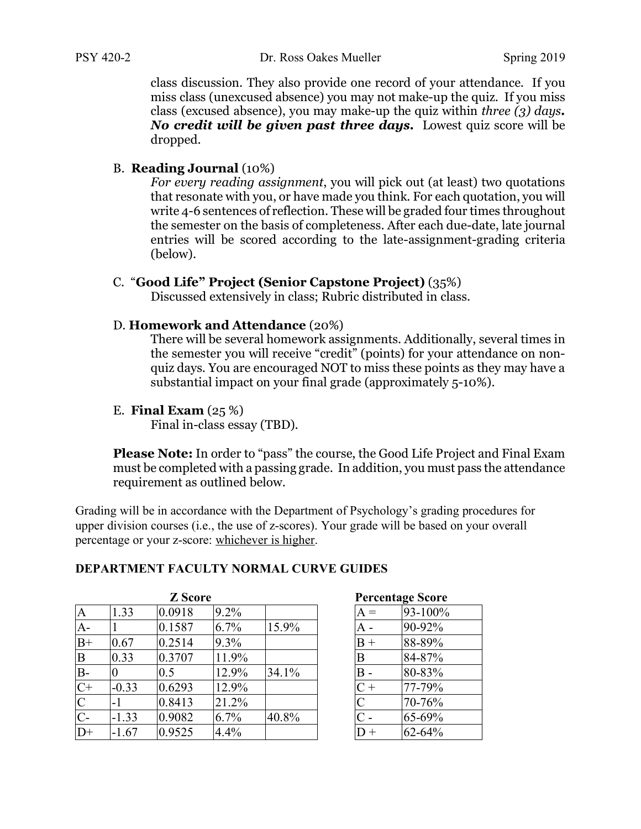class discussion. They also provide one record of your attendance. If you miss class (unexcused absence) you may not make-up the quiz. If you miss class (excused absence), you may make-up the quiz within *three (3) days. No credit will be given past three days.* Lowest quiz score will be dropped.

#### B. **Reading Journal** (10%)

*For every reading assignment*, you will pick out (at least) two quotations that resonate with you, or have made you think. For each quotation, you will write 4-6 sentences of reflection. These will be graded four times throughout the semester on the basis of completeness. After each due-date, late journal entries will be scored according to the late-assignment-grading criteria (below).

#### C. "**Good Life" Project (Senior Capstone Project)** (35%)

Discussed extensively in class; Rubric distributed in class.

#### D. **Homework and Attendance** (20%)

There will be several homework assignments. Additionally, several times in the semester you will receive "credit" (points) for your attendance on nonquiz days. You are encouraged NOT to miss these points as they may have a substantial impact on your final grade (approximately 5-10%).

#### E. **Final Exam** (25 %)

Final in-class essay (TBD).

**Please Note:** In order to "pass" the course, the Good Life Project and Final Exam must be completed with a passing grade. In addition, you must pass the attendance requirement as outlined below.

Grading will be in accordance with the Department of Psychology's grading procedures for upper division courses (i.e., the use of z-scores). Your grade will be based on your overall percentage or your z-score: whichever is higher.

### **DEPARTMENT FACULTY NORMAL CURVE GUIDES**

|                |         | <b>Z</b> Score |       | <b>Percentage Score</b> |                |         |
|----------------|---------|----------------|-------|-------------------------|----------------|---------|
| $\overline{A}$ | 1.33    | 0.0918         | 9.2%  |                         | $A =$          | 93-100% |
| $A-$           |         | 0.1587         | 6.7%  | 15.9%                   | А -            | 90-92%  |
| $B+$           | 0.67    | 0.2514         | 9.3%  |                         | $B +$          | 88-89%  |
| B              | 0.33    | 0.3707         | 11.9% |                         | B              | 84-87%  |
| B-             |         | 0.5            | 12.9% | 34.1%                   | B              | 80-83%  |
| $C+$           | $-0.33$ | 0.6293         | 12.9% |                         | $C +$          | 77-79%  |
| $\overline{C}$ | -1      | 0.8413         | 21.2% |                         | $\mathcal{C}$  | 70-76%  |
| $C-$           | $-1.33$ | 0.9082         | 6.7%  | 40.8%                   | $\mathsf{C}$ - | 65-69%  |
| $D+$           | $-1.67$ | 0.9525         | 4.4%  |                         |                | 62-64%  |

#### Percentage Score

|                  | <b>Creditage</b> Score |
|------------------|------------------------|
| $\Lambda =$      | 93-100%                |
| $\blacktriangle$ | 90-92%                 |
| $\overline{3}$ + | 88-89%                 |
| 3                | 84-87%                 |
| $\mathsf{B}$     | 80-83%                 |
|                  | 77-79%                 |
| $\frac{1}{2}$    | 70-76%                 |
|                  | 65-69%                 |
|                  | 62-64%                 |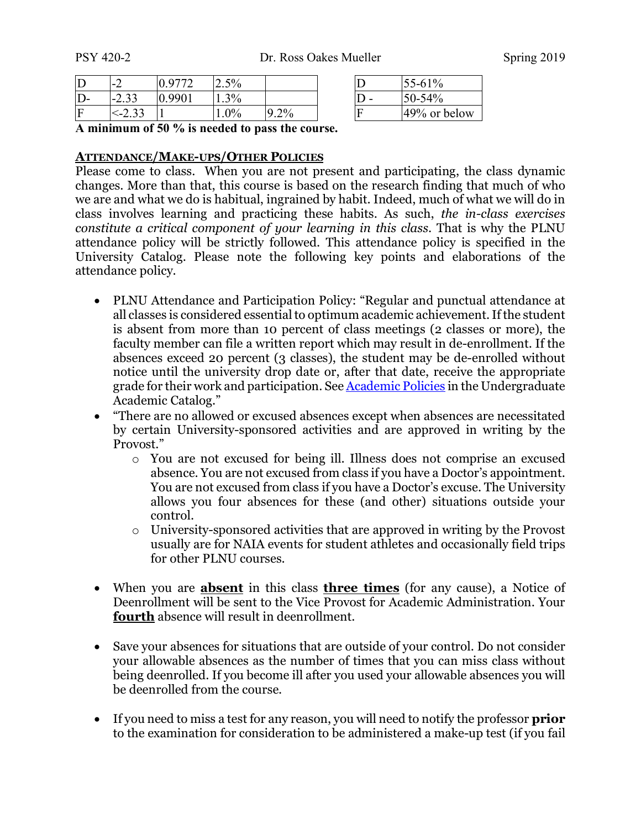| $\Gamma$ | $\blacksquare$       |       | 2.5% |        |  | 55-61%       |
|----------|----------------------|-------|------|--------|--|--------------|
| D-       | $\cap$<br>$-2.35$    | .9901 | 1.3% |        |  | 50-54%       |
|          | $\gamma$<br>$<-2.33$ |       | 0%   | $.2\%$ |  | 49% or below |

| D | 55-61%       |
|---|--------------|
| D | 50-54%       |
| F | 49% or below |

**A minimum of 50 % is needed to pass the course.**

#### **ATTENDANCE/MAKE-UPS/OTHER POLICIES**

Please come to class. When you are not present and participating, the class dynamic changes. More than that, this course is based on the research finding that much of who we are and what we do is habitual, ingrained by habit. Indeed, much of what we will do in class involves learning and practicing these habits. As such, *the in-class exercises constitute a critical component of your learning in this class*. That is why the PLNU attendance policy will be strictly followed. This attendance policy is specified in the University Catalog. Please note the following key points and elaborations of the attendance policy.

- PLNU Attendance and Participation Policy: "Regular and punctual attendance at all classes is considered essential to optimum academic achievement. If the student is absent from more than 10 percent of class meetings (2 classes or more), the faculty member can file a written report which may result in de-enrollment. If the absences exceed 20 percent (3 classes), the student may be de-enrolled without notice until the university drop date or, after that date, receive the appropriate grade for their work and participation. See Academic Policies in the Undergraduate Academic Catalog."
- "There are no allowed or excused absences except when absences are necessitated by certain University-sponsored activities and are approved in writing by the Provost."
	- o You are not excused for being ill. Illness does not comprise an excused absence. You are not excused from class if you have a Doctor's appointment. You are not excused from class if you have a Doctor's excuse. The University allows you four absences for these (and other) situations outside your control.
	- o University-sponsored activities that are approved in writing by the Provost usually are for NAIA events for student athletes and occasionally field trips for other PLNU courses.
- When you are **absent** in this class **three times** (for any cause), a Notice of Deenrollment will be sent to the Vice Provost for Academic Administration. Your **fourth** absence will result in deenrollment.
- Save your absences for situations that are outside of your control. Do not consider your allowable absences as the number of times that you can miss class without being deenrolled. If you become ill after you used your allowable absences you will be deenrolled from the course.
- If you need to miss a test for any reason, you will need to notify the professor **prior** to the examination for consideration to be administered a make-up test (if you fail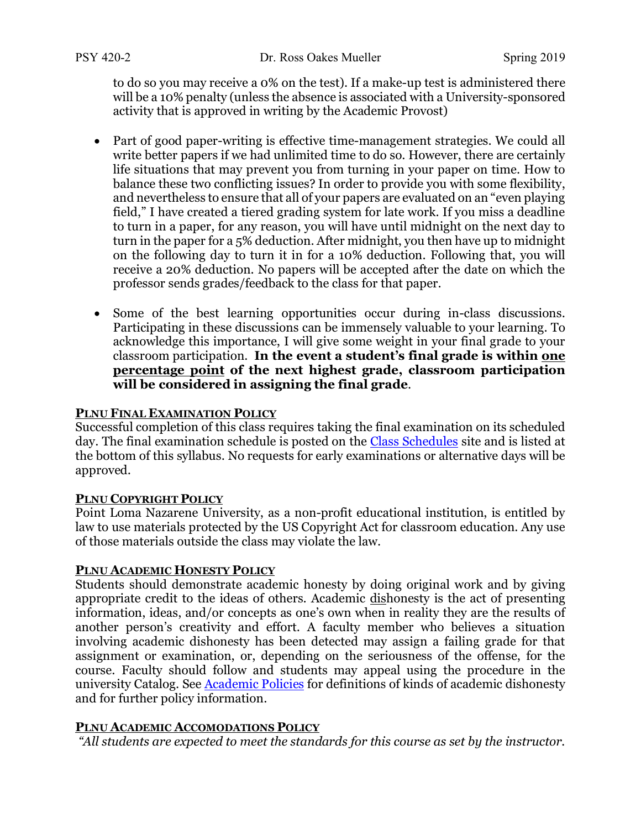to do so you may receive a 0% on the test). If a make-up test is administered there will be a 10% penalty (unless the absence is associated with a University-sponsored activity that is approved in writing by the Academic Provost)

- Part of good paper-writing is effective time-management strategies. We could all write better papers if we had unlimited time to do so. However, there are certainly life situations that may prevent you from turning in your paper on time. How to balance these two conflicting issues? In order to provide you with some flexibility, and nevertheless to ensure that all of your papers are evaluated on an "even playing field," I have created a tiered grading system for late work. If you miss a deadline to turn in a paper, for any reason, you will have until midnight on the next day to turn in the paper for a 5% deduction. After midnight, you then have up to midnight on the following day to turn it in for a 10% deduction. Following that, you will receive a 20% deduction. No papers will be accepted after the date on which the professor sends grades/feedback to the class for that paper.
- Some of the best learning opportunities occur during in-class discussions. Participating in these discussions can be immensely valuable to your learning. To acknowledge this importance, I will give some weight in your final grade to your classroom participation. **In the event a student's final grade is within one percentage point of the next highest grade, classroom participation will be considered in assigning the final grade**.

#### **PLNU FINAL EXAMINATION POLICY**

Successful completion of this class requires taking the final examination on its scheduled day. The final examination schedule is posted on the Class Schedules site and is listed at the bottom of this syllabus. No requests for early examinations or alternative days will be approved.

#### **PLNU COPYRIGHT POLICY**

Point Loma Nazarene University, as a non-profit educational institution, is entitled by law to use materials protected by the US Copyright Act for classroom education. Any use of those materials outside the class may violate the law.

### **PLNU ACADEMIC HONESTY POLICY**

Students should demonstrate academic honesty by doing original work and by giving appropriate credit to the ideas of others. Academic dishonesty is the act of presenting information, ideas, and/or concepts as one's own when in reality they are the results of another person's creativity and effort. A faculty member who believes a situation involving academic dishonesty has been detected may assign a failing grade for that assignment or examination, or, depending on the seriousness of the offense, for the course. Faculty should follow and students may appeal using the procedure in the university Catalog. See Academic Policies for definitions of kinds of academic dishonesty and for further policy information.

#### **PLNU ACADEMIC ACCOMODATIONS POLICY**

*"All students are expected to meet the standards for this course as set by the instructor.*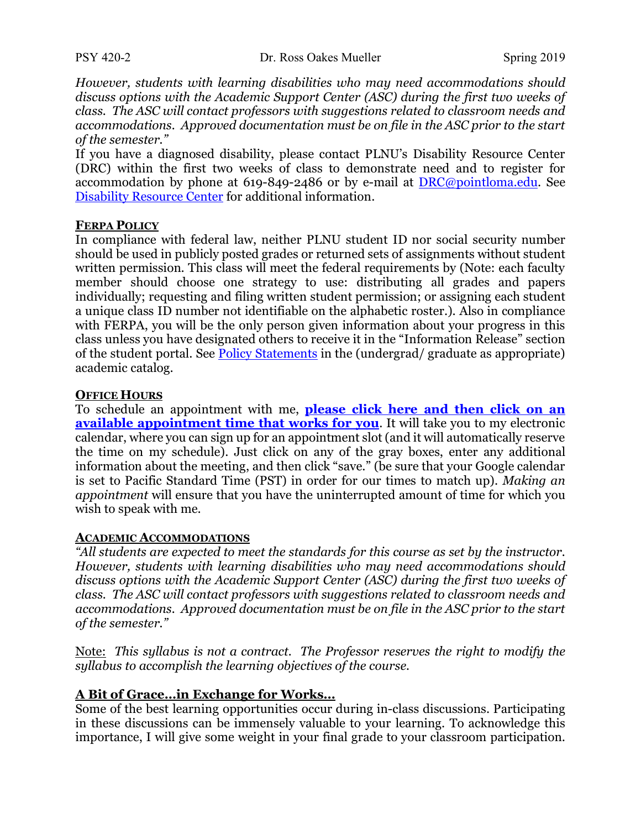*However, students with learning disabilities who may need accommodations should discuss options with the Academic Support Center (ASC) during the first two weeks of class. The ASC will contact professors with suggestions related to classroom needs and accommodations. Approved documentation must be on file in the ASC prior to the start of the semester."* 

If you have a diagnosed disability, please contact PLNU's Disability Resource Center (DRC) within the first two weeks of class to demonstrate need and to register for accommodation by phone at 619-849-2486 or by e-mail at **DRC**@pointloma.edu. See Disability Resource Center for additional information.

#### **FERPA POLICY**

In compliance with federal law, neither PLNU student ID nor social security number should be used in publicly posted grades or returned sets of assignments without student written permission. This class will meet the federal requirements by (Note: each faculty member should choose one strategy to use: distributing all grades and papers individually; requesting and filing written student permission; or assigning each student a unique class ID number not identifiable on the alphabetic roster.). Also in compliance with FERPA, you will be the only person given information about your progress in this class unless you have designated others to receive it in the "Information Release" section of the student portal. See Policy Statements in the (undergrad/ graduate as appropriate) academic catalog.

#### **OFFICE HOURS**

To schedule an appointment with me, **please click here and then click on an available appointment time that works for you**. It will take you to my electronic calendar, where you can sign up for an appointment slot (and it will automatically reserve the time on my schedule). Just click on any of the gray boxes, enter any additional information about the meeting, and then click "save." (be sure that your Google calendar is set to Pacific Standard Time (PST) in order for our times to match up). *Making an appointment* will ensure that you have the uninterrupted amount of time for which you wish to speak with me.

#### **ACADEMIC ACCOMMODATIONS**

*"All students are expected to meet the standards for this course as set by the instructor. However, students with learning disabilities who may need accommodations should discuss options with the Academic Support Center (ASC) during the first two weeks of class. The ASC will contact professors with suggestions related to classroom needs and accommodations. Approved documentation must be on file in the ASC prior to the start of the semester."* 

Note: *This syllabus is not a contract. The Professor reserves the right to modify the syllabus to accomplish the learning objectives of the course.*

#### **A Bit of Grace…in Exchange for Works…**

Some of the best learning opportunities occur during in-class discussions. Participating in these discussions can be immensely valuable to your learning. To acknowledge this importance, I will give some weight in your final grade to your classroom participation.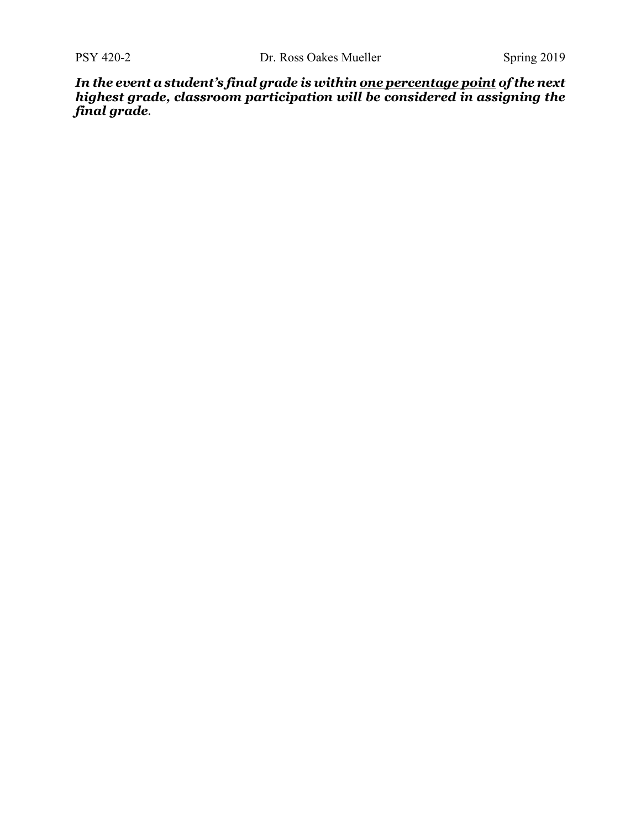*In the event a student's final grade is within one percentage point of the next highest grade, classroom participation will be considered in assigning the final grade.*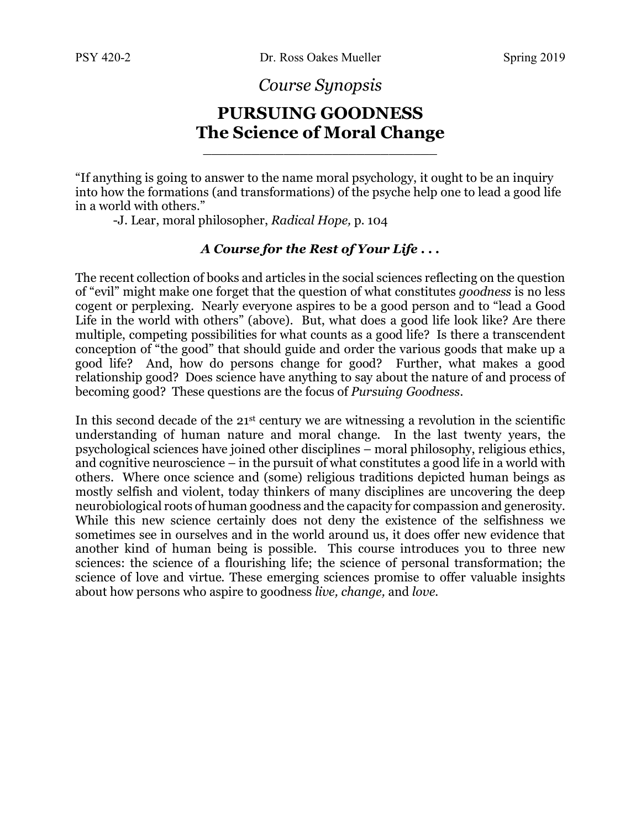*Course Synopsis*

## **PURSUING GOODNESS The Science of Moral Change**

\_\_\_\_\_\_\_\_\_\_\_\_\_\_\_\_\_\_\_\_\_\_\_\_\_\_\_\_\_

"If anything is going to answer to the name moral psychology, it ought to be an inquiry into how the formations (and transformations) of the psyche help one to lead a good life in a world with others."

-J. Lear, moral philosopher, *Radical Hope,* p. 104

#### *A Course for the Rest of Your Life . . .*

The recent collection of books and articles in the social sciences reflecting on the question of "evil" might make one forget that the question of what constitutes *goodness* is no less cogent or perplexing. Nearly everyone aspires to be a good person and to "lead a Good Life in the world with others" (above). But, what does a good life look like? Are there multiple, competing possibilities for what counts as a good life? Is there a transcendent conception of "the good" that should guide and order the various goods that make up a good life? And, how do persons change for good? Further, what makes a good relationship good? Does science have anything to say about the nature of and process of becoming good? These questions are the focus of *Pursuing Goodness*.

In this second decade of the 21<sup>st</sup> century we are witnessing a revolution in the scientific understanding of human nature and moral change. In the last twenty years, the psychological sciences have joined other disciplines – moral philosophy, religious ethics, and cognitive neuroscience – in the pursuit of what constitutes a good life in a world with others. Where once science and (some) religious traditions depicted human beings as mostly selfish and violent, today thinkers of many disciplines are uncovering the deep neurobiological roots of human goodness and the capacity for compassion and generosity. While this new science certainly does not deny the existence of the selfishness we sometimes see in ourselves and in the world around us, it does offer new evidence that another kind of human being is possible. This course introduces you to three new sciences: the science of a flourishing life; the science of personal transformation; the science of love and virtue. These emerging sciences promise to offer valuable insights about how persons who aspire to goodness *live, change,* and *love.*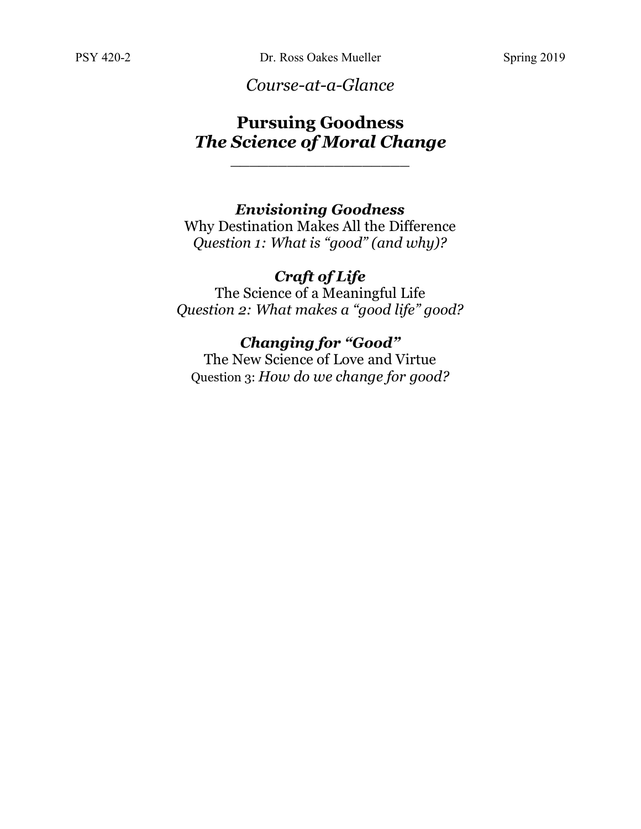*Course-at-a-Glance*

# **Pursuing Goodness** *The Science of Moral Change*

\_\_\_\_\_\_\_\_\_\_\_\_\_\_\_\_\_\_\_

## *Envisioning Goodness*

Why Destination Makes All the Difference *Question 1: What is "good" (and why)?*

## *Craft of Life*

The Science of a Meaningful Life *Question 2: What makes a "good life" good?*

# *Changing for "Good"*

The New Science of Love and Virtue Question 3: *How do we change for good?*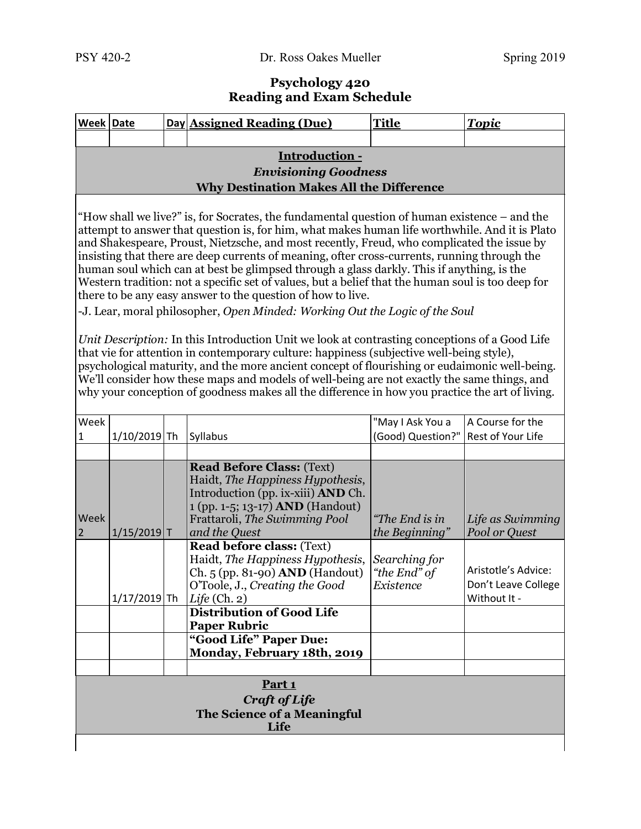#### **Psychology 420 Reading and Exam Schedule**

|                                                                                                                                                                                                                                                                                                                                                                                                                                                                                                                                                                                                                                                                                                                                                                                                                                                                                                                                                                                                                                                                                                                                                                                                                                              | Week Date                                                                                                                                                                                                                                                                                      |  | Day Assigned Reading (Due)                                                                                                                                                                              | <b>Title</b>                     | <b>Topic</b>                      |  |  |
|----------------------------------------------------------------------------------------------------------------------------------------------------------------------------------------------------------------------------------------------------------------------------------------------------------------------------------------------------------------------------------------------------------------------------------------------------------------------------------------------------------------------------------------------------------------------------------------------------------------------------------------------------------------------------------------------------------------------------------------------------------------------------------------------------------------------------------------------------------------------------------------------------------------------------------------------------------------------------------------------------------------------------------------------------------------------------------------------------------------------------------------------------------------------------------------------------------------------------------------------|------------------------------------------------------------------------------------------------------------------------------------------------------------------------------------------------------------------------------------------------------------------------------------------------|--|---------------------------------------------------------------------------------------------------------------------------------------------------------------------------------------------------------|----------------------------------|-----------------------------------|--|--|
|                                                                                                                                                                                                                                                                                                                                                                                                                                                                                                                                                                                                                                                                                                                                                                                                                                                                                                                                                                                                                                                                                                                                                                                                                                              |                                                                                                                                                                                                                                                                                                |  |                                                                                                                                                                                                         |                                  |                                   |  |  |
|                                                                                                                                                                                                                                                                                                                                                                                                                                                                                                                                                                                                                                                                                                                                                                                                                                                                                                                                                                                                                                                                                                                                                                                                                                              |                                                                                                                                                                                                                                                                                                |  | Introduction -                                                                                                                                                                                          |                                  |                                   |  |  |
|                                                                                                                                                                                                                                                                                                                                                                                                                                                                                                                                                                                                                                                                                                                                                                                                                                                                                                                                                                                                                                                                                                                                                                                                                                              |                                                                                                                                                                                                                                                                                                |  | <b>Envisioning Goodness</b><br><b>Why Destination Makes All the Difference</b>                                                                                                                          |                                  |                                   |  |  |
|                                                                                                                                                                                                                                                                                                                                                                                                                                                                                                                                                                                                                                                                                                                                                                                                                                                                                                                                                                                                                                                                                                                                                                                                                                              |                                                                                                                                                                                                                                                                                                |  |                                                                                                                                                                                                         |                                  |                                   |  |  |
| "How shall we live?" is, for Socrates, the fundamental question of human existence – and the<br>attempt to answer that question is, for him, what makes human life worthwhile. And it is Plato<br>and Shakespeare, Proust, Nietzsche, and most recently, Freud, who complicated the issue by<br>insisting that there are deep currents of meaning, ofter cross-currents, running through the<br>human soul which can at best be glimpsed through a glass darkly. This if anything, is the<br>Western tradition: not a specific set of values, but a belief that the human soul is too deep for<br>there to be any easy answer to the question of how to live.<br>-J. Lear, moral philosopher, Open Minded: Working Out the Logic of the Soul<br>Unit Description: In this Introduction Unit we look at contrasting conceptions of a Good Life<br>that vie for attention in contemporary culture: happiness (subjective well-being style),<br>psychological maturity, and the more ancient concept of flourishing or eudaimonic well-being.<br>We'll consider how these maps and models of well-being are not exactly the same things, and<br>why your conception of goodness makes all the difference in how you practice the art of living. |                                                                                                                                                                                                                                                                                                |  |                                                                                                                                                                                                         |                                  |                                   |  |  |
|                                                                                                                                                                                                                                                                                                                                                                                                                                                                                                                                                                                                                                                                                                                                                                                                                                                                                                                                                                                                                                                                                                                                                                                                                                              |                                                                                                                                                                                                                                                                                                |  |                                                                                                                                                                                                         |                                  |                                   |  |  |
| Week                                                                                                                                                                                                                                                                                                                                                                                                                                                                                                                                                                                                                                                                                                                                                                                                                                                                                                                                                                                                                                                                                                                                                                                                                                         |                                                                                                                                                                                                                                                                                                |  |                                                                                                                                                                                                         | "May I Ask You a                 | A Course for the                  |  |  |
| 1                                                                                                                                                                                                                                                                                                                                                                                                                                                                                                                                                                                                                                                                                                                                                                                                                                                                                                                                                                                                                                                                                                                                                                                                                                            | $1/10/2019$ Th                                                                                                                                                                                                                                                                                 |  | Syllabus                                                                                                                                                                                                | (Good) Question?"                | Rest of Your Life                 |  |  |
| Week<br>2                                                                                                                                                                                                                                                                                                                                                                                                                                                                                                                                                                                                                                                                                                                                                                                                                                                                                                                                                                                                                                                                                                                                                                                                                                    | $1/15/2019$ T                                                                                                                                                                                                                                                                                  |  | <b>Read Before Class: (Text)</b><br>Haidt, The Happiness Hypothesis,<br>Introduction (pp. ix-xiii) <b>AND</b> Ch.<br>1 (pp. 1-5; 13-17) AND (Handout)<br>Frattaroli, The Swimming Pool<br>and the Quest | "The End is in<br>the Beginning" | Life as Swimming<br>Pool or Quest |  |  |
|                                                                                                                                                                                                                                                                                                                                                                                                                                                                                                                                                                                                                                                                                                                                                                                                                                                                                                                                                                                                                                                                                                                                                                                                                                              | <b>Read before class: (Text)</b><br>Haidt, The Happiness Hypothesis,<br>Searching for<br>Aristotle's Advice:<br>Ch. 5 (pp. 81-90) <b>AND</b> (Handout)<br>"the End" of<br>Don't Leave College<br>O'Toole, J., Creating the Good<br>Existence<br>$1/17/2019$ Th<br>Life (Ch. 2)<br>Without It - |  |                                                                                                                                                                                                         |                                  |                                   |  |  |
|                                                                                                                                                                                                                                                                                                                                                                                                                                                                                                                                                                                                                                                                                                                                                                                                                                                                                                                                                                                                                                                                                                                                                                                                                                              |                                                                                                                                                                                                                                                                                                |  | <b>Distribution of Good Life</b><br><b>Paper Rubric</b>                                                                                                                                                 |                                  |                                   |  |  |
|                                                                                                                                                                                                                                                                                                                                                                                                                                                                                                                                                                                                                                                                                                                                                                                                                                                                                                                                                                                                                                                                                                                                                                                                                                              |                                                                                                                                                                                                                                                                                                |  | "Good Life" Paper Due:                                                                                                                                                                                  |                                  |                                   |  |  |
|                                                                                                                                                                                                                                                                                                                                                                                                                                                                                                                                                                                                                                                                                                                                                                                                                                                                                                                                                                                                                                                                                                                                                                                                                                              |                                                                                                                                                                                                                                                                                                |  | Monday, February 18th, 2019                                                                                                                                                                             |                                  |                                   |  |  |
| Part <sub>1</sub><br>Craft of Life<br>The Science of a Meaningful<br>Life                                                                                                                                                                                                                                                                                                                                                                                                                                                                                                                                                                                                                                                                                                                                                                                                                                                                                                                                                                                                                                                                                                                                                                    |                                                                                                                                                                                                                                                                                                |  |                                                                                                                                                                                                         |                                  |                                   |  |  |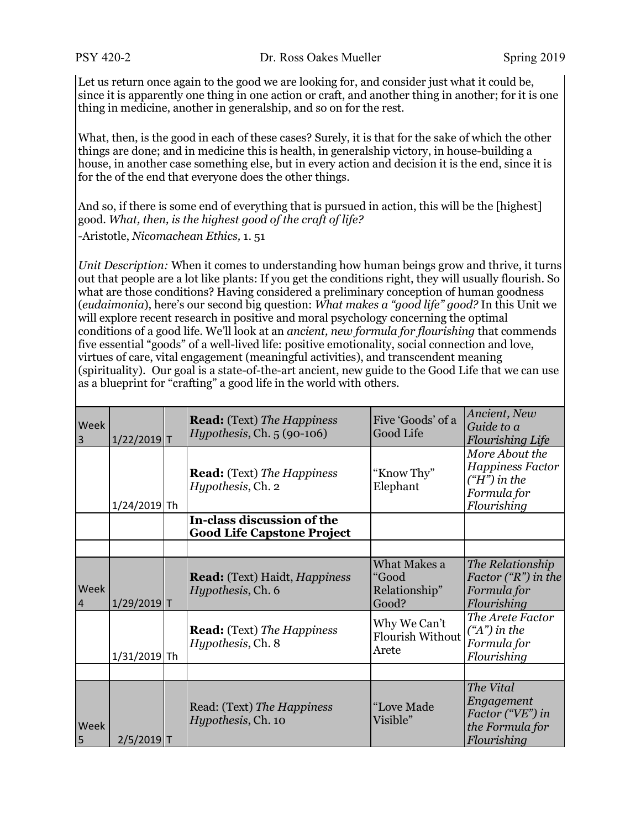PSY 420-2 Dr. Ross Oakes Mueller Spring 2019

Let us return once again to the good we are looking for, and consider just what it could be, since it is apparently one thing in one action or craft, and another thing in another; for it is one thing in medicine, another in generalship, and so on for the rest.

What, then, is the good in each of these cases? Surely, it is that for the sake of which the other things are done; and in medicine this is health, in generalship victory, in house-building a house, in another case something else, but in every action and decision it is the end, since it is for the of the end that everyone does the other things.

And so, if there is some end of everything that is pursued in action, this will be the [highest] good. *What, then, is the highest good of the craft of life?* -Aristotle, *Nicomachean Ethics,* 1. 51

*Unit Description:* When it comes to understanding how human beings grow and thrive, it turns out that people are a lot like plants: If you get the conditions right, they will usually flourish. So what are those conditions? Having considered a preliminary conception of human goodness (*eudaimonia*), here's our second big question: *What makes a "good life" good?* In this Unit we will explore recent research in positive and moral psychology concerning the optimal conditions of a good life. We'll look at an *ancient, new formula for flourishing* that commends five essential "goods" of a well-lived life: positive emotionality, social connection and love, virtues of care, vital engagement (meaningful activities), and transcendent meaning (spirituality). Our goal is a state-of-the-art ancient, new guide to the Good Life that we can use as a blueprint for "crafting" a good life in the world with others.

| Week<br>$\overline{3}$ | $1/22/2019$ T  | <b>Read:</b> (Text) The Happiness<br>$Hypothesis$ , Ch. $5(90-106)$ | Five 'Goods' of a<br>Good Life                   | Ancient, New<br>Guide to a<br><b>Flourishing Life</b>                                    |
|------------------------|----------------|---------------------------------------------------------------------|--------------------------------------------------|------------------------------------------------------------------------------------------|
|                        | 1/24/2019 Th   | <b>Read:</b> (Text) The Happiness<br>Hypothesis, Ch. 2              | "Know Thy"<br>Elephant                           | More About the<br><b>Happiness Factor</b><br>$(H")$ in the<br>Formula for<br>Flourishing |
|                        |                | In-class discussion of the<br><b>Good Life Capstone Project</b>     |                                                  |                                                                                          |
|                        |                |                                                                     |                                                  |                                                                                          |
| Week<br>$\overline{4}$ | $1/29/2019$ T  | <b>Read:</b> (Text) Haidt, <i>Happiness</i><br>Hypothesis, Ch. 6    | What Makes a<br>"Good<br>Relationship"<br>Good?  | The Relationship<br>Factor $({}^{\omega}R$ ") in the<br>Formula for<br>Flourishing       |
|                        | $1/31/2019$ Th | <b>Read:</b> (Text) The Happiness<br>Hypothesis, Ch. 8              | Why We Can't<br><b>Flourish Without</b><br>Arete | The Arete Factor<br>$({}^{\alpha}A^{\prime\prime})$ in the<br>Formula for<br>Flourishing |
|                        |                |                                                                     |                                                  |                                                                                          |
| Week<br>5              | $2/5/2019$ T   | Read: (Text) The Happiness<br>Hypothesis, Ch. 10                    | "Love Made<br>Visible"                           | The Vital<br>Engagement<br>Factor ("VE") in<br>the Formula for<br>Flourishing            |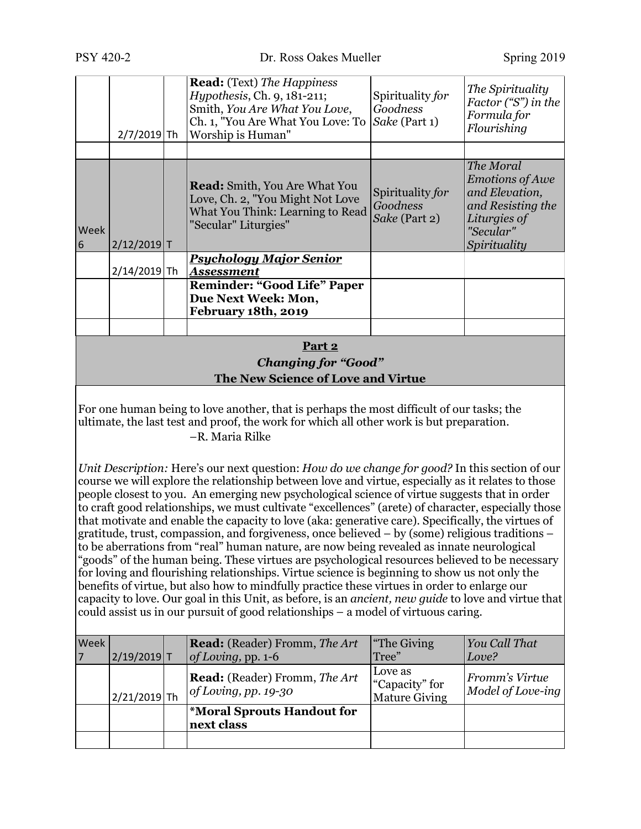|                                                                                                                                                                                                                                                                                                                                                                                                                                                                                                                                                                                                                                                                                                                                                                                                                                                                                                                                                                                                                                                                                                                                                                                                                        | $2/7/2019$ Th  |  | <b>Read:</b> (Text) The Happiness<br><i>Hypothesis</i> , Ch. 9, 181-211;<br>Smith, You Are What You Love,<br>Ch. 1, "You Are What You Love: To<br>Worship is Human"                                      | Spirituality for<br>Goodness<br>Sake (Part 1)     | The Spirituality<br>Factor ("S") in the<br>Formula for<br>Flourishing                                                   |  |  |
|------------------------------------------------------------------------------------------------------------------------------------------------------------------------------------------------------------------------------------------------------------------------------------------------------------------------------------------------------------------------------------------------------------------------------------------------------------------------------------------------------------------------------------------------------------------------------------------------------------------------------------------------------------------------------------------------------------------------------------------------------------------------------------------------------------------------------------------------------------------------------------------------------------------------------------------------------------------------------------------------------------------------------------------------------------------------------------------------------------------------------------------------------------------------------------------------------------------------|----------------|--|----------------------------------------------------------------------------------------------------------------------------------------------------------------------------------------------------------|---------------------------------------------------|-------------------------------------------------------------------------------------------------------------------------|--|--|
|                                                                                                                                                                                                                                                                                                                                                                                                                                                                                                                                                                                                                                                                                                                                                                                                                                                                                                                                                                                                                                                                                                                                                                                                                        |                |  |                                                                                                                                                                                                          |                                                   |                                                                                                                         |  |  |
| Week<br>6                                                                                                                                                                                                                                                                                                                                                                                                                                                                                                                                                                                                                                                                                                                                                                                                                                                                                                                                                                                                                                                                                                                                                                                                              | $2/12/2019$ T  |  | <b>Read:</b> Smith, You Are What You<br>Love, Ch. 2, "You Might Not Love<br>What You Think: Learning to Read<br>"Secular" Liturgies"                                                                     | Spirituality for<br>Goodness<br>Sake (Part 2)     | The Moral<br><b>Emotions of Awe</b><br>and Elevation,<br>and Resisting the<br>Liturgies of<br>"Secular"<br>Spirituality |  |  |
|                                                                                                                                                                                                                                                                                                                                                                                                                                                                                                                                                                                                                                                                                                                                                                                                                                                                                                                                                                                                                                                                                                                                                                                                                        | 2/14/2019 Th   |  | <u> Psychology Major Senior</u><br><b>Assessment</b>                                                                                                                                                     |                                                   |                                                                                                                         |  |  |
|                                                                                                                                                                                                                                                                                                                                                                                                                                                                                                                                                                                                                                                                                                                                                                                                                                                                                                                                                                                                                                                                                                                                                                                                                        |                |  | <b>Reminder: "Good Life" Paper</b><br>Due Next Week: Mon,<br>February 18th, 2019                                                                                                                         |                                                   |                                                                                                                         |  |  |
|                                                                                                                                                                                                                                                                                                                                                                                                                                                                                                                                                                                                                                                                                                                                                                                                                                                                                                                                                                                                                                                                                                                                                                                                                        |                |  |                                                                                                                                                                                                          |                                                   |                                                                                                                         |  |  |
|                                                                                                                                                                                                                                                                                                                                                                                                                                                                                                                                                                                                                                                                                                                                                                                                                                                                                                                                                                                                                                                                                                                                                                                                                        |                |  | Part 2<br><b>Changing for "Good"</b><br>The New Science of Love and Virtue                                                                                                                               |                                                   |                                                                                                                         |  |  |
|                                                                                                                                                                                                                                                                                                                                                                                                                                                                                                                                                                                                                                                                                                                                                                                                                                                                                                                                                                                                                                                                                                                                                                                                                        |                |  | For one human being to love another, that is perhaps the most difficult of our tasks; the<br>ultimate, the last test and proof, the work for which all other work is but preparation.<br>-R. Maria Rilke |                                                   |                                                                                                                         |  |  |
| Unit Description: Here's our next question: How do we change for good? In this section of our<br>course we will explore the relationship between love and virtue, especially as it relates to those<br>people closest to you. An emerging new psychological science of virtue suggests that in order<br>to craft good relationships, we must cultivate "excellences" (arete) of character, especially those<br>that motivate and enable the capacity to love (aka: generative care). Specifically, the virtues of<br>gratitude, trust, compassion, and forgiveness, once believed $-$ by (some) religious traditions $-$<br>to be aberrations from "real" human nature, are now being revealed as innate neurological<br>"goods" of the human being. These virtues are psychological resources believed to be necessary<br>for loving and flourishing relationships. Virtue science is beginning to show us not only the<br>benefits of virtue, but also how to mindfully practice these virtues in order to enlarge our<br>capacity to love. Our goal in this Unit, as before, is an ancient, new quide to love and virtue that<br>could assist us in our pursuit of good relationships - a model of virtuous caring. |                |  |                                                                                                                                                                                                          |                                                   |                                                                                                                         |  |  |
| Week<br>7                                                                                                                                                                                                                                                                                                                                                                                                                                                                                                                                                                                                                                                                                                                                                                                                                                                                                                                                                                                                                                                                                                                                                                                                              | $2/19/2019$ T  |  | <b>Read:</b> (Reader) Fromm, The Art<br>of Loving, pp. 1-6                                                                                                                                               | "The Giving<br>Tree"                              | You Call That<br>Love?                                                                                                  |  |  |
|                                                                                                                                                                                                                                                                                                                                                                                                                                                                                                                                                                                                                                                                                                                                                                                                                                                                                                                                                                                                                                                                                                                                                                                                                        | $2/21/2019$ Th |  | <b>Read:</b> (Reader) Fromm, The Art<br>$of Loving$ , pp. 19-30                                                                                                                                          | Love as<br>"Capacity" for<br><b>Mature Giving</b> | Fromm's Virtue<br>Model of Love-ing                                                                                     |  |  |

**\*Moral Sprouts Handout for** 

**next class**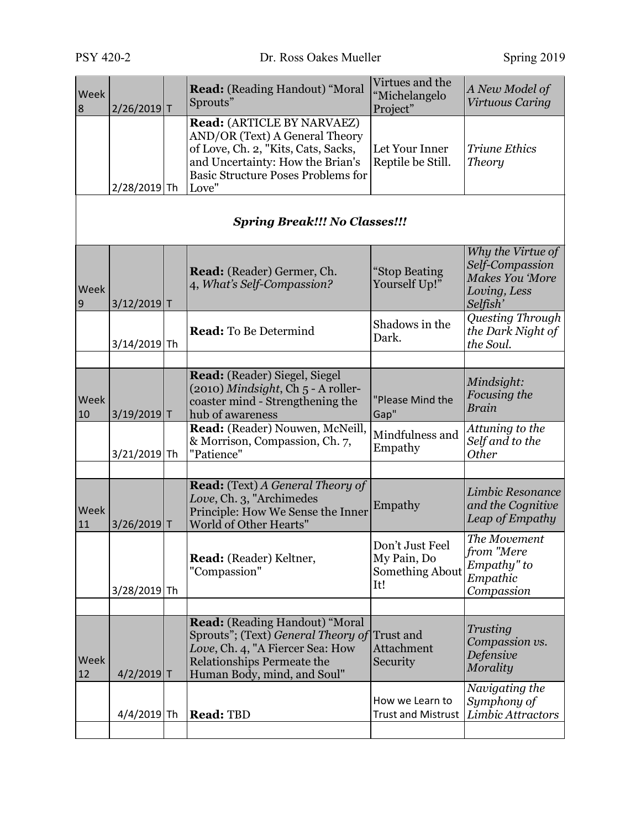| Week<br>8  | 2/26/2019 T   | <b>Read:</b> (Reading Handout) "Moral<br>Sprouts"                                                                                                                                             | Virtues and the<br>"Michelangelo<br>Project"             | A New Model of<br>Virtuous Caring                                                   |
|------------|---------------|-----------------------------------------------------------------------------------------------------------------------------------------------------------------------------------------------|----------------------------------------------------------|-------------------------------------------------------------------------------------|
|            | 2/28/2019 Th  | Read: (ARTICLE BY NARVAEZ)<br>AND/OR (Text) A General Theory<br>of Love, Ch. 2, "Kits, Cats, Sacks,<br>and Uncertainty: How the Brian's<br><b>Basic Structure Poses Problems for</b><br>Love" | Let Your Inner<br>Reptile be Still.                      | <b>Triune Ethics</b><br><b>Theory</b>                                               |
|            |               | <b>Spring Break!!! No Classes!!!</b>                                                                                                                                                          |                                                          |                                                                                     |
| Week<br>9  | 3/12/2019 T   | <b>Read:</b> (Reader) Germer, Ch.<br>4, What's Self-Compassion?                                                                                                                               | "Stop Beating<br>Yourself Up!"                           | Why the Virtue of<br>Self-Compassion<br>Makes You 'More<br>Loving, Less<br>Selfish' |
|            | 3/14/2019 Th  | <b>Read:</b> To Be Determind                                                                                                                                                                  | Shadows in the<br>Dark.                                  | Questing Through<br>the Dark Night of<br>the Soul.                                  |
| Week<br>10 | $3/19/2019$ T | Read: (Reader) Siegel, Siegel<br>(2010) Mindsight, Ch 5 - A roller-<br>coaster mind - Strengthening the<br>hub of awareness                                                                   | "Please Mind the<br>Gap"                                 | Mindsight:<br>Focusing the<br>Brain                                                 |
|            | 3/21/2019 Th  | Read: (Reader) Nouwen, McNeill,<br>& Morrison, Compassion, Ch. 7,<br>"Patience"                                                                                                               | Mindfulness and<br>Empathy                               | Attuning to the<br>Self and to the<br><b>Other</b>                                  |
| Week<br>11 | 3/26/2019 T   | <b>Read:</b> (Text) A General Theory of<br>Love, Ch. 3, "Archimedes<br>Principle: How We Sense the Inner<br>World of Other Hearts"                                                            | Empathy                                                  | Limbic Resonance<br>and the Cognitive<br>Leap of Empathy                            |
|            | 3/28/2019 Th  | Read: (Reader) Keltner,<br>"Compassion"                                                                                                                                                       | Don't Just Feel<br>My Pain, Do<br>Something About<br>It! | The Movement<br>from "Mere<br>Empathy" to<br>Empathic<br>Compassion                 |
| Week<br>12 | $4/2/2019$ T  | <b>Read:</b> (Reading Handout) "Moral<br>Sprouts"; (Text) General Theory of<br>Love, Ch. 4, "A Fiercer Sea: How<br><b>Relationships Permeate the</b><br>Human Body, mind, and Soul"           | Trust and<br><b>Attachment</b><br>Security               | Trusting<br>Compassion vs.<br><b>Defensive</b><br>Morality                          |
|            | 4/4/2019 Th   | <b>Read: TBD</b>                                                                                                                                                                              | How we Learn to<br><b>Trust and Mistrust</b>             | Navigating the<br>Symphony of<br>Limbic Attractors                                  |